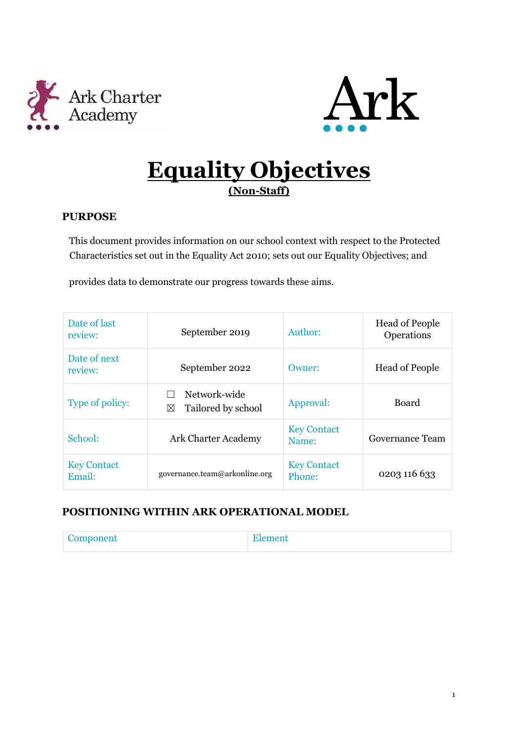



# **Equality Objectives (Non-Staff)**

### **PURPOSE**

This document provides information on our school context with respect to the Protected Characteristics set out in the Equality Act 2010; sets out our Equality Objectives; and

provides data to demonstrate our progress towards these aims.

| Date of last<br>review:      | September 2019                          | Author:                         | <b>Head of People</b><br>Operations |
|------------------------------|-----------------------------------------|---------------------------------|-------------------------------------|
| Date of next<br>review:      | September 2022                          | <b>Head of People</b><br>Owner: |                                     |
| Type of policy:              | Network-wide<br>Tailored by school<br>⊠ | Approval:                       | Board                               |
| School:                      | <b>Ark Charter Academy</b>              | <b>Key Contact</b><br>Name:     | Governance Team                     |
| <b>Key Contact</b><br>Email: | governance.team@arkonline.org           | <b>Key Contact</b><br>Phone:    | 0203 116 633                        |

### **POSITIONING WITHIN ARK OPERATIONAL MODEL**

| . Component<br><b>COMPONDITE</b> | <b>The Second Second</b> |
|----------------------------------|--------------------------|
|                                  |                          |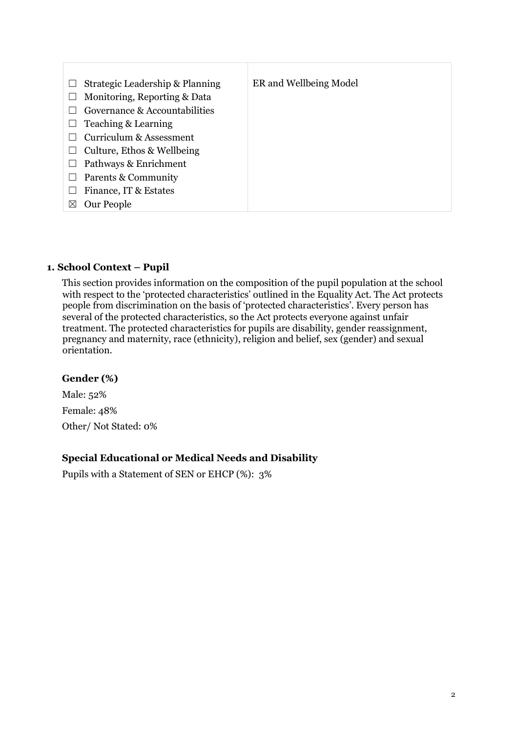| $\overline{\phantom{a}}$ | Strategic Leadership & Planning | ER and Wellbeing Model |
|--------------------------|---------------------------------|------------------------|
|                          | Monitoring, Reporting & Data    |                        |
|                          | Governance & Accountabilities   |                        |
|                          | Teaching & Learning             |                        |
|                          | Curriculum & Assessment         |                        |
|                          | Culture, Ethos & Wellbeing      |                        |
|                          | Pathways & Enrichment           |                        |
|                          | Parents & Community             |                        |
|                          | Finance, IT & Estates           |                        |
| $\boxtimes$              | Our People                      |                        |

### **1. School Context – Pupil**

This section provides information on the composition of the pupil population at the school with respect to the 'protected characteristics' outlined in the Equality Act. The Act protects people from discrimination on the basis of 'protected characteristics'. Every person has several of the protected characteristics, so the Act protects everyone against unfair treatment. The protected characteristics for pupils are disability, gender reassignment, pregnancy and maternity, race (ethnicity), religion and belief, sex (gender) and sexual orientation.

#### **Gender (%)**

Male: 52% Female: 48% Other/ Not Stated: 0%

#### **Special Educational or Medical Needs and Disability**

Pupils with a Statement of SEN or EHCP (%): 3%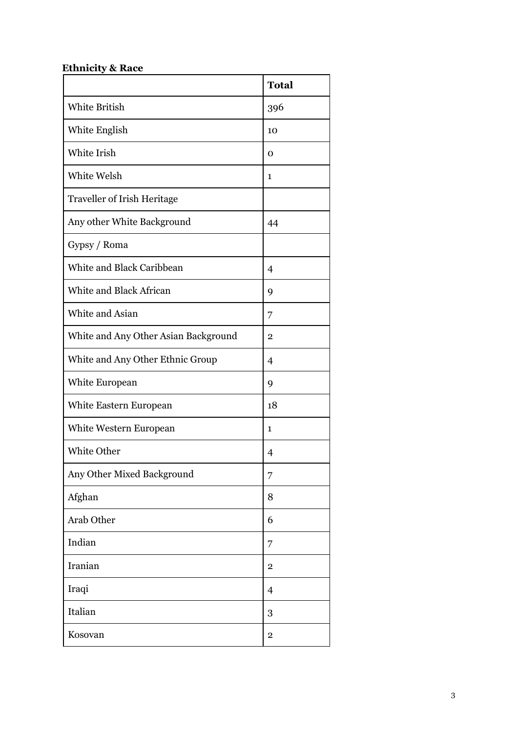# **Ethnicity & Race**

|                                      | <b>Total</b>            |
|--------------------------------------|-------------------------|
| <b>White British</b>                 | 396                     |
| White English                        | 10                      |
| White Irish                          | Ω                       |
| White Welsh                          | 1                       |
| <b>Traveller of Irish Heritage</b>   |                         |
| Any other White Background           | 44                      |
| Gypsy / Roma                         |                         |
| White and Black Caribbean            | 4                       |
| White and Black African              | 9                       |
| White and Asian                      | 7                       |
| White and Any Other Asian Background | $\mathbf 2$             |
| White and Any Other Ethnic Group     | 4                       |
| White European                       | 9                       |
| White Eastern European               | 18                      |
| White Western European               | $\mathbf{1}$            |
| White Other                          | 4                       |
| Any Other Mixed Background           | 7                       |
| Afghan                               | 8                       |
| Arab Other                           | 6                       |
| Indian                               | 7                       |
| Iranian                              | $\overline{2}$          |
| Iraqi                                | 4                       |
| Italian                              | 3                       |
| Kosovan                              | $\overline{\mathbf{2}}$ |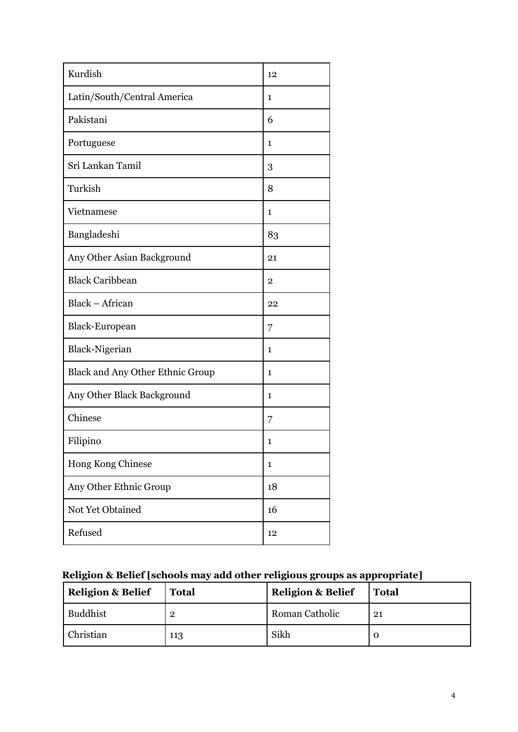| Kurdish                                 | 12           |
|-----------------------------------------|--------------|
| Latin/South/Central America             | 1            |
| Pakistani                               | 6            |
| Portuguese                              | $\mathbf{1}$ |
| Sri Lankan Tamil                        | 3            |
| Turkish                                 | 8            |
| Vietnamese                              | $\mathbf{1}$ |
| Bangladeshi                             | 83           |
| Any Other Asian Background              | 21           |
| <b>Black Caribbean</b>                  | 2            |
| Black - African                         | 22           |
| Black-European                          | 7            |
| Black-Nigerian                          | $\mathbf{1}$ |
| <b>Black and Any Other Ethnic Group</b> | $\mathbf{1}$ |
| Any Other Black Background              | 1            |
| Chinese                                 | 7            |
| Filipino                                | 1            |
| Hong Kong Chinese                       | $\mathbf{1}$ |
| Any Other Ethnic Group                  | 18           |
| Not Yet Obtained                        | 16           |
| Refused                                 | 12           |

# **Religion & Belief [schools may add other religious groups as appropriate]**

| <b>Religion &amp; Belief</b> | <b>Total</b>   | <b>Religion &amp; Belief</b> | <b>Total</b> |
|------------------------------|----------------|------------------------------|--------------|
| Buddhist                     | $\overline{2}$ | Roman Catholic               | 21           |
| Christian                    | 113            | Sikh                         |              |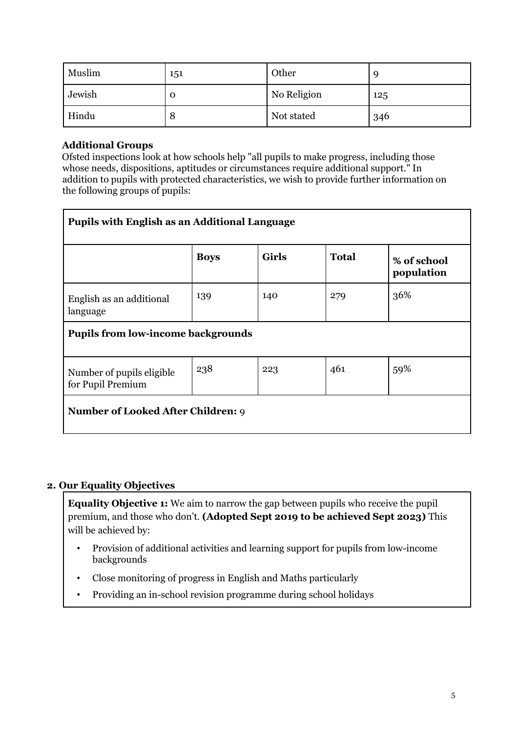| Muslim | 151 | Other       |     |
|--------|-----|-------------|-----|
| Jewish | О   | No Religion | 125 |
| Hindu  | Õ   | Not stated  | 346 |

### **Additional Groups**

Ofsted inspections look at how schools help "all pupils to make progress, including those whose needs, dispositions, aptitudes or circumstances require additional support." In addition to pupils with protected characteristics, we wish to provide further information on the following groups of pupils:

| <b>Pupils with English as an Additional Language</b> |             |              |              |                           |  |  |
|------------------------------------------------------|-------------|--------------|--------------|---------------------------|--|--|
|                                                      | <b>Boys</b> | <b>Girls</b> | <b>Total</b> | % of school<br>population |  |  |
| English as an additional<br>language                 | 139         | 140          | 279          | 36%                       |  |  |
| <b>Pupils from low-income backgrounds</b>            |             |              |              |                           |  |  |
| Number of pupils eligible<br>for Pupil Premium       | 238         | 223          | 461          | 59%                       |  |  |
| <b>Number of Looked After Children: 9</b>            |             |              |              |                           |  |  |

### **2. Our Equality Objectives**

**Equality Objective 1:** We aim to narrow the gap between pupils who receive the pupil premium, and those who don't. **(Adopted Sept 2019 to be achieved Sept 2023)** This will be achieved by:

- Provision of additional activities and learning support for pupils from low-income backgrounds
- Close monitoring of progress in English and Maths particularly
- Providing an in-school revision programme during school holidays